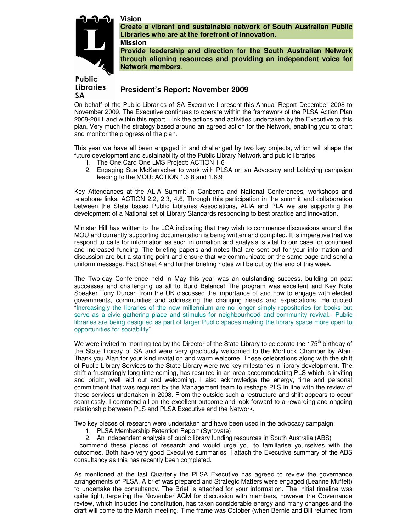# **Vision**

**Mission** 



**Create a vibrant and sustainable network of South Australian Public Libraries who are at the forefront of innovation.** 

**Provide leadership and direction for the South Australian Network through aligning resources and providing an independent voice for Network members.** 

# Public **Libraries** SA

# **President's Report: November 2009**

On behalf of the Public Libraries of SA Executive I present this Annual Report December 2008 to November 2009. The Executive continues to operate within the framework of the PLSA Action Plan 2008-2011 and within this report I link the actions and activities undertaken by the Executive to this plan. Very much the strategy based around an agreed action for the Network, enabling you to chart and monitor the progress of the plan.

This year we have all been engaged in and challenged by two key projects, which will shape the future development and sustainability of the Public Library Network and public libraries:

- 1. The One Card One LMS Project: ACTION 1.6
- 2. Engaging Sue McKerracher to work with PLSA on an Advocacy and Lobbying campaign leading to the MOU: ACTION 1.6.8 and 1.6.9

Key Attendances at the ALIA Summit in Canberra and National Conferences, workshops and telephone links. ACTION 2.2, 2.3, 4.6, Through this participation in the summit and collaboration between the State based Public Libraries Associations, ALIA and PLA we are supporting the development of a National set of Library Standards responding to best practice and innovation.

Minister Hill has written to the LGA indicating that they wish to commence discussions around the MOU and currently supporting documentation is being written and compiled. It is imperative that we respond to calls for information as such information and analysis is vital to our case for continued and increased funding. The briefing papers and notes that are sent out for your information and discussion are but a starting point and ensure that we communicate on the same page and send a uniform message. Fact Sheet 4 and further briefing notes will be out by the end of this week.

The Two-day Conference held in May this year was an outstanding success, building on past successes and challenging us all to Build Balance! The program was excellent and Key Note Speaker Tony Durcan from the UK discussed the importance of and how to engage with elected governments, communities and addressing the changing needs and expectations. He quoted "Increasingly the libraries of the new millennium are no longer simply repositories for books but serve as a civic gathering place and stimulus for neighbourhood and community revival. Public libraries are being designed as part of larger Public spaces making the library space more open to opportunities for sociability"

We were invited to morning tea by the Director of the State Library to celebrate the 175<sup>th</sup> birthday of the State Library of SA and were very graciously welcomed to the Mortlock Chamber by Alan. Thank you Alan for your kind invitation and warm welcome. These celebrations along with the shift of Public Library Services to the State Library were two key milestones in library development. The shift a frustratingly long time coming, has resulted in an area accommodating PLS which is inviting and bright, well laid out and welcoming. I also acknowledge the energy, time and personal commitment that was required by the Management team to reshape PLS in line with the review of these services undertaken in 2008. From the outside such a restructure and shift appears to occur seamlessly, I commend all on the excellent outcome and look forward to a rewarding and ongoing relationship between PLS and PLSA Executive and the Network.

Two key pieces of research were undertaken and have been used in the advocacy campaign:

- 1. PLSA Membership Retention Report (Synovate)
- 2. An independent analysis of public library funding resources in South Australia (ABS)

I commend these pieces of research and would urge you to familiarise yourselves with the outcomes. Both have very good Executive summaries. I attach the Executive summary of the ABS consultancy as this has recently been completed.

As mentioned at the last Quarterly the PLSA Executive has agreed to review the governance arrangements of PLSA. A brief was prepared and Strategic Matters were engaged (Leanne Muffett) to undertake the consultancy. The Brief is attached for your information. The initial timeline was quite tight, targeting the November AGM for discussion with members, however the Governance review, which includes the constitution, has taken considerable energy and many changes and the draft will come to the March meeting. Time frame was October (when Bernie and Bill returned from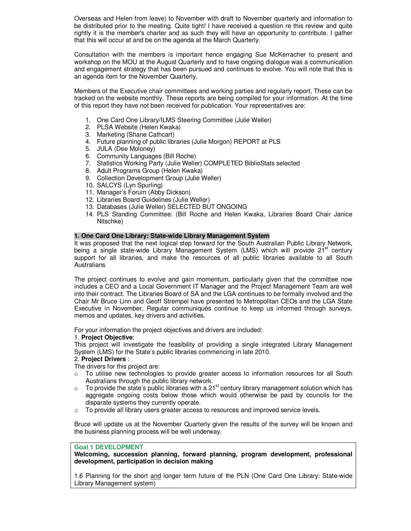Overseas and Helen from leave) to November with draft to November quarterly and information to be distributed prior to the meeting. Quite tight! I have received a question re this review and quite rightly it is the member's charter and as such they will have an opportunity to contribute. I gather that this will occur at and be on the agenda at the March Quarterly.

Consultation with the members is important hence engaging Sue McKerracher to present and workshop on the MOU at the August Quarterly and to have ongoing dialogue was a communication and engagement strategy that has been pursued and continues to evolve. You will note that this is an agenda item for the November Quarterly.

Members of the Executive chair committees and working parties and regularly report, These can be tracked on the website monthly. These reports are being compiled for your information. At the time of this report they have not been received for publication. Your representatives are:

- 1. One Card One Library/ILMS Steering Committee (Julie Weller)
- 2. PLSA Website (Helen Kwaka)
- 3. Marketing (Shane Cathcart)
- 4. Future planning of public libraries (Julie Morgon) REPORT at PLS
- 5. JULA (Dee Moloney)
- 6. Community Languages (Bill Roche)
- 7. Statistics Working Party (Julie Weller) COMPLETED BiblioStats selected
- 8. Adult Programs Group (Helen Kwaka)
- 9. Collection Development Group (Julie Weller)
- 10. SALCYS (Lyn Spurling)
- 11. Manager's Forum (Abby Dickson)
- 12. Libraries Board Guidelines (Julie Weller)
- 13. Databases (Julie Weller) SELECTED BUT ONGOING
- 14. PLS Standing Committee: (Bill Roche and Helen Kwaka, Libraries Board Chair Janice Nitschke)

## **1. One Card One Library: State-wide Library Management System**

It was proposed that the next logical step forward for the South Australian Public Library Network, being a single state-wide Library Management System (LMS) which will provide  $21<sup>st</sup>$  century support for all libraries, and make the resources of all public libraries available to all South Australians

The project continues to evolve and gain momentum, particularly given that the committee now includes a CEO and a Local Government IT Manager and the Project Management Team are well into their contract. The Libraries Board of SA and the LGA continues to be formally involved and the Chair Mr Bruce Linn and Geoff Strempel have presented to Metropolitan CEOs and the LGA State Executive in November. Regular communiqués continue to keep us informed through surveys, memos and updates, key drivers and activities.

For your information the project objectives and drivers are included:

## 1. **Project Objective**:

This project will investigate the feasibility of providing a single integrated Library Management System (LMS) for the State's public libraries commencing in late 2010.

## 2. **Project Drivers** :

The drivers for this project are:

- $\circ$  To utilise new technologies to provide greater access to information resources for all South Australians through the public library network.
- $\circ$  To provide the state's public libraries with a 21<sup>st</sup> century library management solution which has aggregate ongoing costs below those which would otherwise be paid by councils for the disparate systems they currently operate.
- $\circ$  To provide all library users greater access to resources and improved service levels.

Bruce will update us at the November Quarterly given the results of the survey will be known and the business planning process will be well underway.

## **Goal 1 DEVELOPMENT**

**Welcoming, succession planning, forward planning, program development, professional development, participation in decision making** 

1.6 Planning for the short and longer term future of the PLN (One Card One Library: State-wide Library Management system)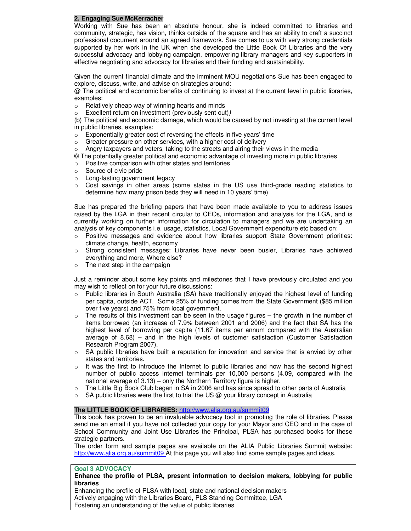# **2. Engaging Sue McKerracher**

Working with Sue has been an absolute honour, she is indeed committed to libraries and community, strategic, has vision, thinks outside of the square and has an ability to craft a succinct professional document around an agreed framework. Sue comes to us with very strong credentials supported by her work in the UK when she developed the Little Book Of Libraries and the very successful advocacy and lobbying campaign, empowering library managers and key supporters in effective negotiating and advocacy for libraries and their funding and sustainability.

Given the current financial climate and the imminent MOU negotiations Sue has been engaged to explore, discuss, write, and advise on strategies around:

@ The political and economic benefits of continuing to invest at the current level in public libraries, examples:

- o Relatively cheap way of winning hearts and minds
- o Excellent return on investment (previously sent out))

(b) The political and economic damage, which would be caused by not investing at the current level in public libraries, examples:

- $\circ$  Exponentially greater cost of reversing the effects in five years' time
- $\circ$  Greater pressure on other services, with a higher cost of delivery
- o Angry taxpayers and voters, taking to the streets and airing their views in the media
- © The potentially greater political and economic advantage of investing more in public libraries
- o Positive comparison with other states and territories
- o Source of civic pride
- o Long-lasting government legacy
- $\circ$  Cost savings in other areas (some states in the US use third-grade reading statistics to determine how many prison beds they will need in 10 years' time)

Sue has prepared the briefing papers that have been made available to you to address issues raised by the LGA in their recent circular to CEOs, information and analysis for the LGA, and is currently working on further information for circulation to managers and we are undertaking an analysis of key components i.e. usage, statistics, Local Government expenditure etc based on:

- o Positive messages and evidence about how libraries support State Government priorities: climate change, health, economy
- o Strong consistent messages: Libraries have never been busier, Libraries have achieved everything and more, Where else?
- $\circ$  The next step in the campaign

Just a reminder about some key points and milestones that I have previously circulated and you may wish to reflect on for your future discussions:

- o Public libraries in South Australia (SA) have traditionally enjoyed the highest level of funding per capita, outside ACT. Some 25% of funding comes from the State Government (\$85 million over five years) and 75% from local government.
- $\circ$  The results of this investment can be seen in the usage figures the growth in the number of items borrowed (an increase of 7.9% between 2001 and 2006) and the fact that SA has the highest level of borrowing per capita (11.67 items per annum compared with the Australian average of 8.68) – and in the high levels of customer satisfaction (Customer Satisfaction Research Program 2007).
- $\circ$  SA public libraries have built a reputation for innovation and service that is envied by other states and territories.
- $\circ$  It was the first to introduce the Internet to public libraries and now has the second highest number of public access internet terminals per 10,000 persons (4.09, compared with the national average of 3.13) – only the Northern Territory figure is higher.
- $\circ$  The Little Big Book Club began in SA in 2006 and has since spread to other parts of Australia
- $\circ$  SA public libraries were the first to trial the US @ your library concept in Australia

## **The LITTLE BOOK OF LIBRARIES:** http://www.alia.org.au/summit09

This book has proven to be an invaluable advocacy tool in promoting the role of libraries. Please send me an email if you have not collected your copy for your Mayor and CEO and in the case of School Community and Joint Use Libraries the Principal, PLSA has purchased books for these strategic partners.

The order form and sample pages are available on the ALIA Public Libraries Summit website: http://www.alia.org.au/summit09 At this page you will also find some sample pages and ideas.

## **Goal 3 ADVOCACY**

**Enhance the profile of PLSA, present information to decision makers, lobbying for public libraries** 

Enhancing the profile of PLSA with local, state and national decision makers Actively engaging with the Libraries Board, PLS Standing Committee, LGA Fostering an understanding of the value of public libraries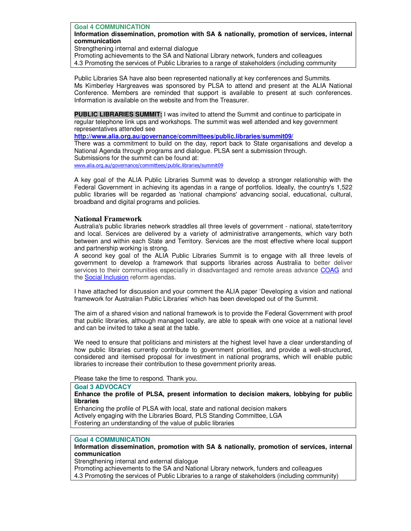**Goal 4 COMMUNICATION Information dissemination, promotion with SA & nationally, promotion of services, internal communication** 

Strengthening internal and external dialogue

Promoting achievements to the SA and National Library network, funders and colleagues 4.3 Promoting the services of Public Libraries to a range of stakeholders (including community

Public Libraries SA have also been represented nationally at key conferences and Summits. Ms Kimberley Hargreaves was sponsored by PLSA to attend and present at the ALIA National Conference. Members are reminded that support is available to present at such conferences. Information is available on the website and from the Treasurer.

**PUBLIC LIBRARIES SUMMIT:** I was invited to attend the Summit and continue to participate in regular telephone link ups and workshops. The summit was well attended and key government representatives attended see

**http://www.alia.org.au/governance/committees/public.libraries/summit09/**

There was a commitment to build on the day, report back to State organisations and develop a National Agenda through programs and dialogue. PLSA sent a submission through. Submissions for the summit can be found at:

www.alia.org.au/governance/committees/public.libraries/summit09

A key goal of the ALIA Public Libraries Summit was to develop a stronger relationship with the Federal Government in achieving its agendas in a range of portfolios. Ideally, the country's 1,522 public libraries will be regarded as 'national champions' advancing social, educational, cultural, broadband and digital programs and policies.

# **National Framework**

Australia's public libraries network straddles all three levels of government - national, state/territory and local. Services are delivered by a variety of administrative arrangements, which vary both between and within each State and Territory. Services are the most effective where local support and partnership working is strong.

A second key goal of the ALIA Public Libraries Summit is to engage with all three levels of government to develop a framework that supports libraries across Australia to better deliver services to their communities especially in disadvantaged and remote areas advance COAG and the Social Inclusion reform agendas.

I have attached for discussion and your comment the ALIA paper 'Developing a vision and national framework for Australian Public Libraries' which has been developed out of the Summit.

The aim of a shared vision and national framework is to provide the Federal Government with proof that public libraries, although managed locally, are able to speak with one voice at a national level and can be invited to take a seat at the table.

We need to ensure that politicians and ministers at the highest level have a clear understanding of how public libraries currently contribute to government priorities, and provide a well-structured, considered and itemised proposal for investment in national programs, which will enable public libraries to increase their contribution to these government priority areas.

Please take the time to respond. Thank you.

# **Goal 3 ADVOCACY**

#### **Enhance the profile of PLSA, present information to decision makers, lobbying for public libraries**

Enhancing the profile of PLSA with local, state and national decision makers Actively engaging with the Libraries Board, PLS Standing Committee, LGA Fostering an understanding of the value of public libraries

## **Goal 4 COMMUNICATION**

**Information dissemination, promotion with SA & nationally, promotion of services, internal communication** 

Strengthening internal and external dialogue

Promoting achievements to the SA and National Library network, funders and colleagues 4.3 Promoting the services of Public Libraries to a range of stakeholders (including community)